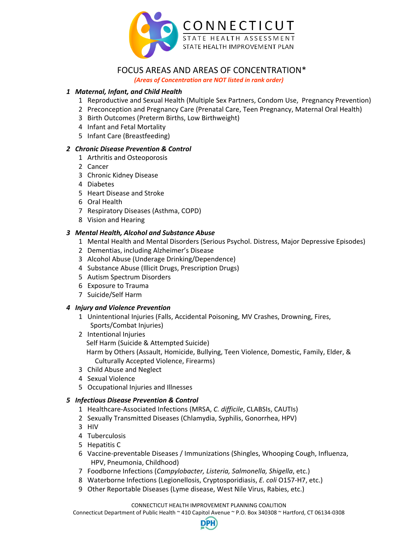

# FOCUS AREAS AND AREAS OF CONCENTRATION\*

*(Areas of Concentration are NOT listed in rank order)*

# *Maternal, Infant, and Child Health*

- Reproductive and Sexual Health (Multiple Sex Partners, Condom Use, Pregnancy Prevention)
- 2 Preconception and Pregnancy Care (Prenatal Care, Teen Pregnancy, Maternal Oral Health)
- Birth Outcomes (Preterm Births, Low Birthweight)
- Infant and Fetal Mortality
- Infant Care (Breastfeeding)

#### *Chronic Disease Prevention & Control*

- 1 Arthritis and Osteoporosis
- 2 Cancer
- Chronic Kidney Disease
- Diabetes
- Heart Disease and Stroke
- Oral Health
- Respiratory Diseases (Asthma, COPD)
- Vision and Hearing

# *Mental Health, Alcohol and Substance Abuse*

- Mental Health and Mental Disorders (Serious Psychol. Distress, Major Depressive Episodes)
- 2 Dementias, including Alzheimer's Disease
- Alcohol Abuse (Underage Drinking/Dependence)
- Substance Abuse (Illicit Drugs, Prescription Drugs)
- Autism Spectrum Disorders
- Exposure to Trauma
- Suicide/Self Harm

#### *Injury and Violence Prevention*

- Unintentional Injuries (Falls, Accidental Poisoning, MV Crashes, Drowning, Fires, Sports/Combat Injuries)
- 2 Intentional Injuries

Self Harm (Suicide & Attempted Suicide)

Harm by Others (Assault, Homicide, Bullying, Teen Violence, Domestic, Family, Elder, & Culturally Accepted Violence, Firearms)

- Child Abuse and Neglect
- Sexual Violence
- Occupational Injuries and Illnesses

# *Infectious Disease Prevention & Control*

- Healthcare‐Associated Infections (MRSA, *C. difficile*, CLABSIs, CAUTIs)
- Sexually Transmitted Diseases (Chlamydia, Syphilis, Gonorrhea, HPV)
- HIV
- 4 Tuberculosis
- Hepatitis C
- Vaccine‐preventable Diseases / Immunizations (Shingles, Whooping Cough, Influenza, HPV, Pneumonia, Childhood)
- Foodborne Infections (*Campylobacter, Listeria, Salmonella, Shigella*, etc.)
- Waterborne Infections (Legionellosis, Cryptosporidiasis, *E. coli* O157‐H7, etc.)
- Other Reportable Diseases (Lyme disease, West Nile Virus, Rabies, etc.)